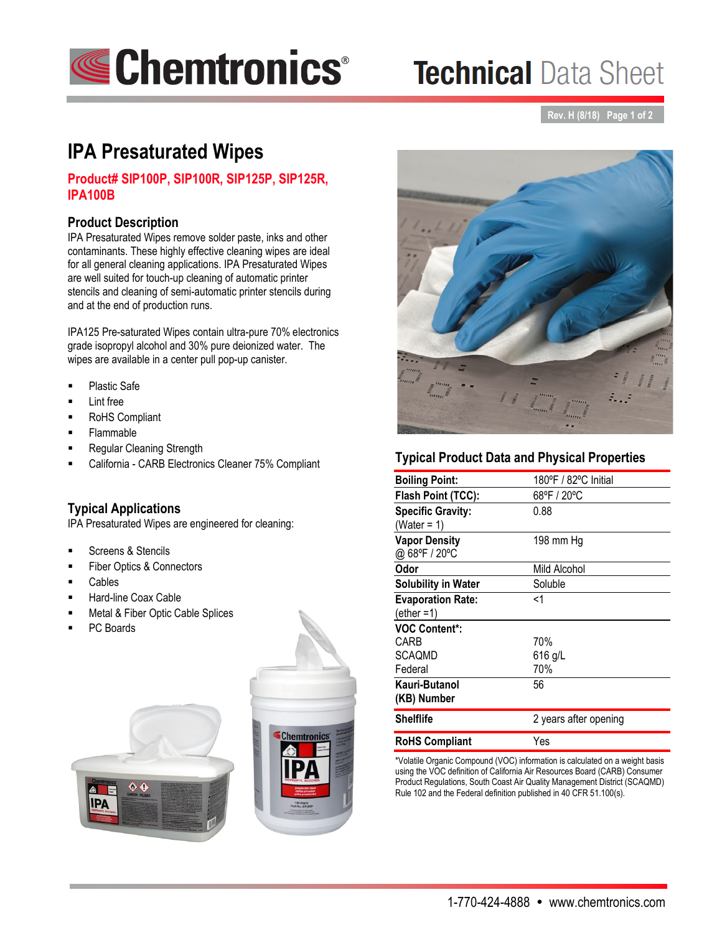

# **Technical Data Sheet**

**Rev. H (8/18) Page 1 of 2**

# **IPA Presaturated Wipes**

# **Product# SIP100P, SIP100R, SIP125P, SIP125R, IPA100B**

### **Product Description**

ľ

IPA Presaturated Wipes remove solder paste, inks and other contaminants. These highly effective cleaning wipes are ideal for all general cleaning applications. IPA Presaturated Wipes are well suited for touch-up cleaning of automatic printer stencils and cleaning of semi-automatic printer stencils during and at the end of production runs.

IPA125 Pre-saturated Wipes contain ultra-pure 70% electronics grade isopropyl alcohol and 30% pure deionized water. The wipes are available in a center pull pop-up canister.

- Plastic Safe
- Lint free
- RoHS Compliant
- Flammable
- Regular Cleaning Strength
- California CARB Electronics Cleaner 75% Compliant

#### **Typical Applications**

IPA Presaturated Wipes are engineered for cleaning:

- Screens & Stencils
- Fiber Optics & Connectors
- Cables
- Hard-line Coax Cable
- Metal & Fiber Optic Cable Splices
- PC Boards

**PA** 







# **Typical Product Data and Physical Properties**

| <b>Boiling Point:</b>                     | 180°F / 82°C Initial  |
|-------------------------------------------|-----------------------|
| Flash Point (TCC):                        | 68°F / 20°C           |
| <b>Specific Gravity:</b><br>(Water = 1)   | 0.88                  |
| <b>Vapor Density</b><br>@ 68°F / 20°C     | 198 mm Hg             |
| Odor                                      | Mild Alcohol          |
| <b>Solubility in Water</b>                | Soluble               |
| <b>Evaporation Rate:</b><br>$(ether = 1)$ | <1                    |
| <b>VOC Content*:</b>                      |                       |
| CARB                                      | 70%                   |
| SCAOMD                                    | $616$ g/L             |
| Federal                                   | 70%                   |
| Kauri-Butanol<br>(KB) Number              | 56                    |
| <b>Shelflife</b>                          | 2 years after opening |
| <b>RoHS Compliant</b>                     | Yes                   |

\*Volatile Organic Compound (VOC) information is calculated on a weight basis using the VOC definition of California Air Resources Board (CARB) Consumer Product Regulations, South Coast Air Quality Management District (SCAQMD) Rule 102 and the Federal definition published in 40 CFR 51.100(s).